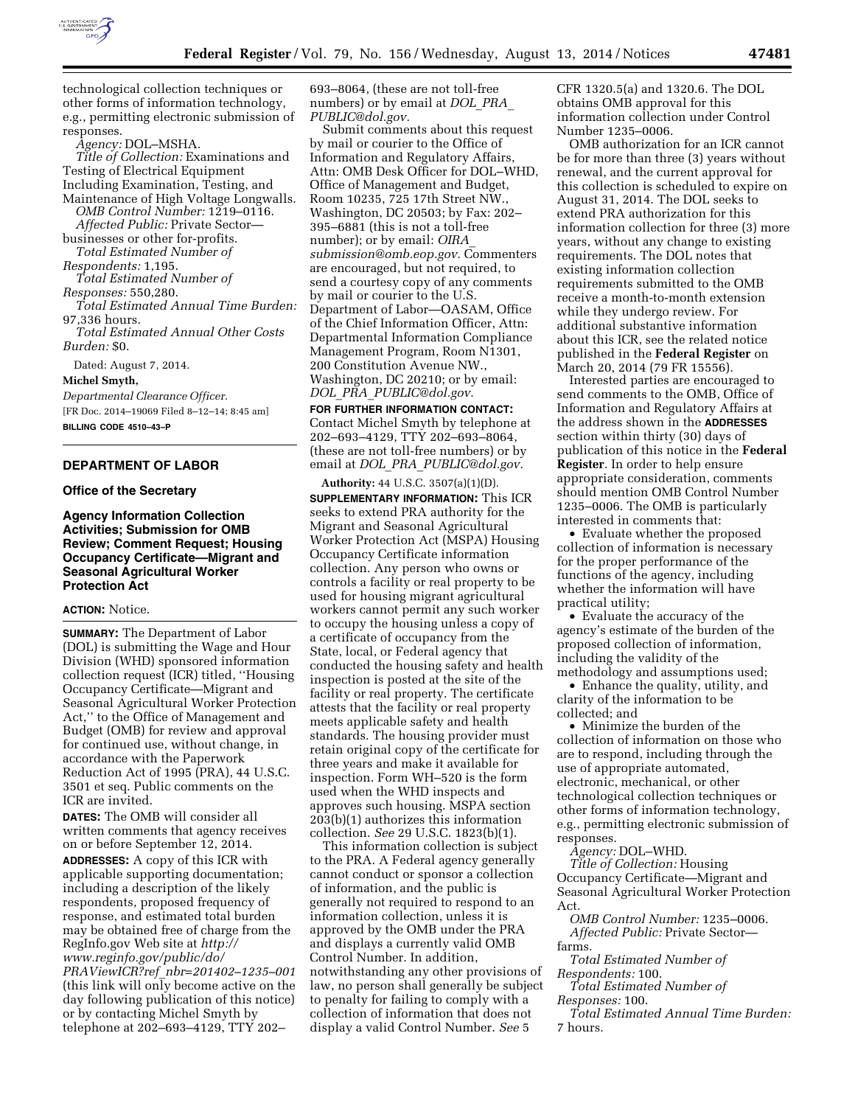

technological collection techniques or other forms of information technology, e.g., permitting electronic submission of responses.

*Agency:* DOL–MSHA.

*Title of Collection:* Examinations and Testing of Electrical Equipment Including Examination, Testing, and Maintenance of High Voltage Longwalls. *OMB Control Number:* 1219–0116. *Affected Public:* Private Sector businesses or other for-profits.

*Total Estimated Number of* 

*Respondents:* 1,195.

*Total Estimated Number of Responses:* 550,280.

*Total Estimated Annual Time Burden:*  97,336 hours.

*Total Estimated Annual Other Costs Burden:* \$0.

Dated: August 7, 2014.

**Michel Smyth,** 

*Departmental Clearance Officer.*  [FR Doc. 2014–19069 Filed 8–12–14; 8:45 am] **BILLING CODE 4510–43–P** 

#### **DEPARTMENT OF LABOR**

#### **Office of the Secretary**

### **Agency Information Collection Activities; Submission for OMB Review; Comment Request; Housing Occupancy Certificate—Migrant and Seasonal Agricultural Worker Protection Act**

## **ACTION:** Notice.

**SUMMARY:** The Department of Labor (DOL) is submitting the Wage and Hour Division (WHD) sponsored information collection request (ICR) titled, ''Housing Occupancy Certificate—Migrant and Seasonal Agricultural Worker Protection Act,'' to the Office of Management and Budget (OMB) for review and approval for continued use, without change, in accordance with the Paperwork Reduction Act of 1995 (PRA), 44 U.S.C. 3501 et seq. Public comments on the ICR are invited.

**DATES:** The OMB will consider all written comments that agency receives on or before September 12, 2014.

**ADDRESSES:** A copy of this ICR with applicable supporting documentation; including a description of the likely respondents, proposed frequency of response, and estimated total burden may be obtained free of charge from the RegInfo.gov Web site at *[http://](http://www.reginfo.gov/public/do/PRAViewICR?ref_nbr=201402-1235-001) [www.reginfo.gov/public/do/](http://www.reginfo.gov/public/do/PRAViewICR?ref_nbr=201402-1235-001) PRAViewICR?ref*\_*[nbr=201402–1235–001](http://www.reginfo.gov/public/do/PRAViewICR?ref_nbr=201402-1235-001)*  (this link will only become active on the

day following publication of this notice) or by contacting Michel Smyth by telephone at 202–693–4129, TTY 202–

693–8064, (these are not toll-free numbers) or by email at *[DOL](mailto:DOL_PRA_PUBLIC@dol.gov)*\_*PRA*\_ *[PUBLIC@dol.gov.](mailto:DOL_PRA_PUBLIC@dol.gov)* 

Submit comments about this request by mail or courier to the Office of Information and Regulatory Affairs, Attn: OMB Desk Officer for DOL–WHD, Office of Management and Budget, Room 10235, 725 17th Street NW., Washington, DC 20503; by Fax: 202– 395–6881 (this is not a toll-free number); or by email: *[OIRA](mailto:OIRA_submission@omb.eop.gov)*\_ *[submission@omb.eop.gov.](mailto:OIRA_submission@omb.eop.gov)* Commenters are encouraged, but not required, to send a courtesy copy of any comments by mail or courier to the U.S. Department of Labor—OASAM, Office of the Chief Information Officer, Attn: Departmental Information Compliance Management Program, Room N1301, 200 Constitution Avenue NW., Washington, DC 20210; or by email: *DOL*\_*PRA*\_*[PUBLIC@dol.gov.](mailto:DOL_PRA_PUBLIC@dol.gov)* 

**FOR FURTHER INFORMATION CONTACT:**  Contact Michel Smyth by telephone at 202–693–4129, TTY 202–693–8064, (these are not toll-free numbers) or by email at *DOL*\_*PRA*\_*[PUBLIC@dol.gov.](mailto:DOL_PRA_PUBLIC@dol.gov)* 

**Authority:** 44 U.S.C. 3507(a)(1)(D). **SUPPLEMENTARY INFORMATION:** This ICR seeks to extend PRA authority for the Migrant and Seasonal Agricultural Worker Protection Act (MSPA) Housing Occupancy Certificate information collection. Any person who owns or controls a facility or real property to be used for housing migrant agricultural workers cannot permit any such worker to occupy the housing unless a copy of a certificate of occupancy from the State, local, or Federal agency that conducted the housing safety and health inspection is posted at the site of the facility or real property. The certificate attests that the facility or real property meets applicable safety and health standards. The housing provider must retain original copy of the certificate for three years and make it available for inspection. Form WH–520 is the form used when the WHD inspects and approves such housing. MSPA section 203(b)(1) authorizes this information collection. *See* 29 U.S.C. 1823(b)(1).

This information collection is subject to the PRA. A Federal agency generally cannot conduct or sponsor a collection of information, and the public is generally not required to respond to an information collection, unless it is approved by the OMB under the PRA and displays a currently valid OMB Control Number. In addition, notwithstanding any other provisions of law, no person shall generally be subject to penalty for failing to comply with a collection of information that does not display a valid Control Number. *See* 5

CFR 1320.5(a) and 1320.6. The DOL obtains OMB approval for this information collection under Control Number 1235–0006.

OMB authorization for an ICR cannot be for more than three (3) years without renewal, and the current approval for this collection is scheduled to expire on August 31, 2014. The DOL seeks to extend PRA authorization for this information collection for three (3) more years, without any change to existing requirements. The DOL notes that existing information collection requirements submitted to the OMB receive a month-to-month extension while they undergo review. For additional substantive information about this ICR, see the related notice published in the **Federal Register** on March 20, 2014 (79 FR 15556).

Interested parties are encouraged to send comments to the OMB, Office of Information and Regulatory Affairs at the address shown in the **ADDRESSES** section within thirty (30) days of publication of this notice in the **Federal Register**. In order to help ensure appropriate consideration, comments should mention OMB Control Number 1235–0006. The OMB is particularly interested in comments that:

• Evaluate whether the proposed collection of information is necessary for the proper performance of the functions of the agency, including whether the information will have practical utility;

• Evaluate the accuracy of the agency's estimate of the burden of the proposed collection of information, including the validity of the methodology and assumptions used;

• Enhance the quality, utility, and clarity of the information to be collected; and

• Minimize the burden of the collection of information on those who are to respond, including through the use of appropriate automated, electronic, mechanical, or other technological collection techniques or other forms of information technology, e.g., permitting electronic submission of responses.

*Agency:* DOL–WHD.

*Title of Collection:* Housing Occupancy Certificate—Migrant and Seasonal Agricultural Worker Protection Act.

*OMB Control Number:* 1235–0006. *Affected Public:* Private Sector farms.

*Total Estimated Number of Respondents:* 100.

*Total Estimated Number of Responses:* 100.

*Total Estimated Annual Time Burden:*  7 hours.